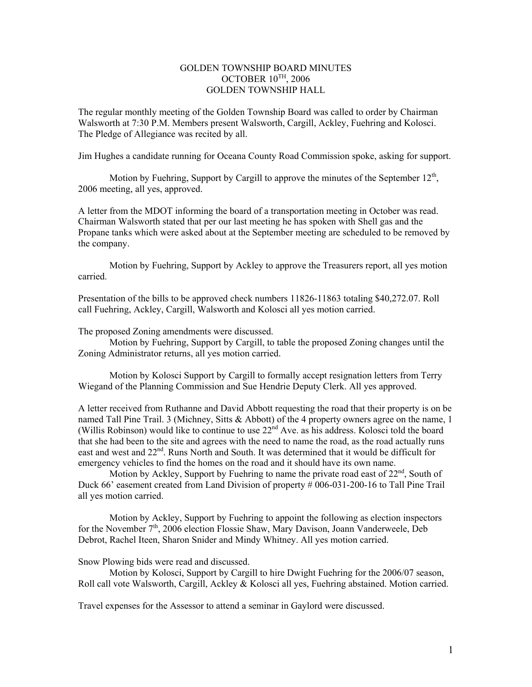## GOLDEN TOWNSHIP BOARD MINUTES OCTOBER  $10^{TH}$ , 2006 GOLDEN TOWNSHIP HALL

The regular monthly meeting of the Golden Township Board was called to order by Chairman Walsworth at 7:30 P.M. Members present Walsworth, Cargill, Ackley, Fuehring and Kolosci. The Pledge of Allegiance was recited by all.

Jim Hughes a candidate running for Oceana County Road Commission spoke, asking for support.

Motion by Fuehring, Support by Cargill to approve the minutes of the September  $12<sup>th</sup>$ , 2006 meeting, all yes, approved.

A letter from the MDOT informing the board of a transportation meeting in October was read. Chairman Walsworth stated that per our last meeting he has spoken with Shell gas and the Propane tanks which were asked about at the September meeting are scheduled to be removed by the company.

 Motion by Fuehring, Support by Ackley to approve the Treasurers report, all yes motion carried.

Presentation of the bills to be approved check numbers 11826-11863 totaling \$40,272.07. Roll call Fuehring, Ackley, Cargill, Walsworth and Kolosci all yes motion carried.

The proposed Zoning amendments were discussed.

 Motion by Fuehring, Support by Cargill, to table the proposed Zoning changes until the Zoning Administrator returns, all yes motion carried.

Motion by Kolosci Support by Cargill to formally accept resignation letters from Terry Wiegand of the Planning Commission and Sue Hendrie Deputy Clerk. All yes approved.

A letter received from Ruthanne and David Abbott requesting the road that their property is on be named Tall Pine Trail. 3 (Michney, Sitts & Abbott) of the 4 property owners agree on the name, 1 (Willis Robinson) would like to continue to use  $22<sup>nd</sup>$  Ave. as his address. Kolosci told the board that she had been to the site and agrees with the need to name the road, as the road actually runs east and west and  $22<sup>nd</sup>$ . Runs North and South. It was determined that it would be difficult for emergency vehicles to find the homes on the road and it should have its own name.

Motion by Ackley, Support by Fuehring to name the private road east of  $22<sup>nd</sup>$ , South of Duck 66' easement created from Land Division of property # 006-031-200-16 to Tall Pine Trail all yes motion carried.

 Motion by Ackley, Support by Fuehring to appoint the following as election inspectors for the November  $7<sup>th</sup>$ , 2006 election Flossie Shaw, Mary Davison, Joann Vanderweele, Deb Debrot, Rachel Iteen, Sharon Snider and Mindy Whitney. All yes motion carried.

Snow Plowing bids were read and discussed.

 Motion by Kolosci, Support by Cargill to hire Dwight Fuehring for the 2006/07 season, Roll call vote Walsworth, Cargill, Ackley & Kolosci all yes, Fuehring abstained. Motion carried.

Travel expenses for the Assessor to attend a seminar in Gaylord were discussed.